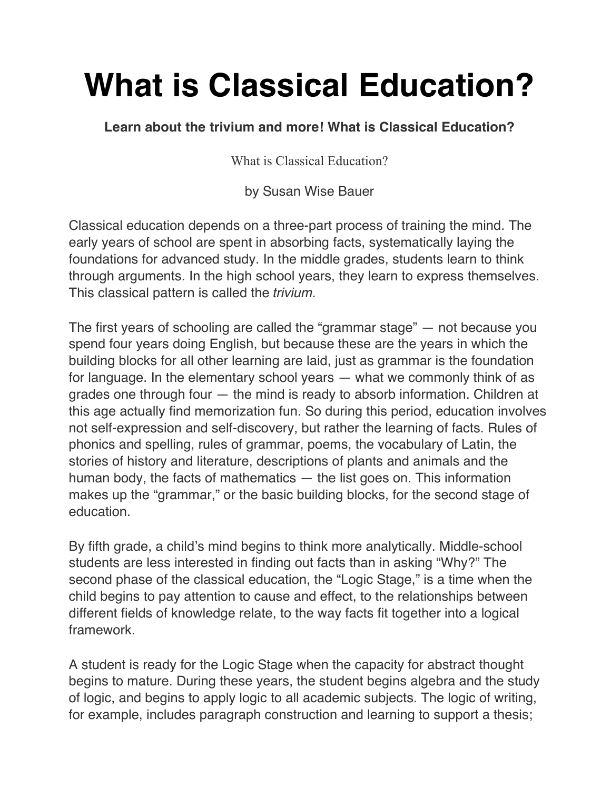## **What is Classical Education?**

**Learn about the trivium and more! What is Classical Education?**

What is Classical Education?

by Susan Wise Bauer

Classical education depends on a three-part process of training the mind. The early years of school are spent in absorbing facts, systematically laying the foundations for advanced study. In the middle grades, students learn to think through arguments. In the high school years, they learn to express themselves. This classical pattern is called the *trivium.*

The first years of schooling are called the "grammar stage" — not because you spend four years doing English, but because these are the years in which the building blocks for all other learning are laid, just as grammar is the foundation for language. In the elementary school years — what we commonly think of as grades one through four — the mind is ready to absorb information. Children at this age actually find memorization fun. So during this period, education involves not self-expression and self-discovery, but rather the learning of facts. Rules of phonics and spelling, rules of grammar, poems, the vocabulary of Latin, the stories of history and literature, descriptions of plants and animals and the human body, the facts of mathematics — the list goes on. This information makes up the "grammar," or the basic building blocks, for the second stage of education.

By fifth grade, a child's mind begins to think more analytically. Middle-school students are less interested in finding out facts than in asking "Why?" The second phase of the classical education, the "Logic Stage," is a time when the child begins to pay attention to cause and effect, to the relationships between different fields of knowledge relate, to the way facts fit together into a logical framework.

A student is ready for the Logic Stage when the capacity for abstract thought begins to mature. During these years, the student begins algebra and the study of logic, and begins to apply logic to all academic subjects. The logic of writing, for example, includes paragraph construction and learning to support a thesis;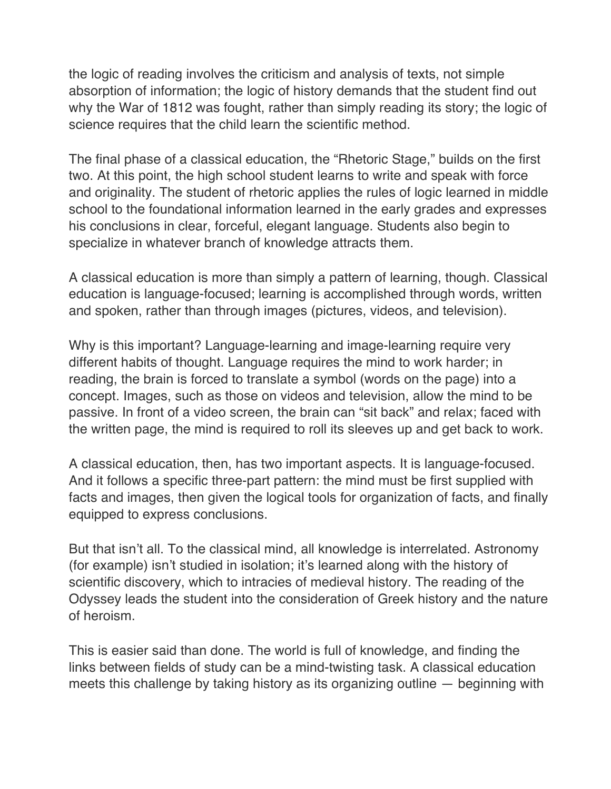the logic of reading involves the criticism and analysis of texts, not simple absorption of information; the logic of history demands that the student find out why the War of 1812 was fought, rather than simply reading its story; the logic of science requires that the child learn the scientific method.

The final phase of a classical education, the "Rhetoric Stage," builds on the first two. At this point, the high school student learns to write and speak with force and originality. The student of rhetoric applies the rules of logic learned in middle school to the foundational information learned in the early grades and expresses his conclusions in clear, forceful, elegant language. Students also begin to specialize in whatever branch of knowledge attracts them.

A classical education is more than simply a pattern of learning, though. Classical education is language-focused; learning is accomplished through words, written and spoken, rather than through images (pictures, videos, and television).

Why is this important? Language-learning and image-learning require very different habits of thought. Language requires the mind to work harder; in reading, the brain is forced to translate a symbol (words on the page) into a concept. Images, such as those on videos and television, allow the mind to be passive. In front of a video screen, the brain can "sit back" and relax; faced with the written page, the mind is required to roll its sleeves up and get back to work.

A classical education, then, has two important aspects. It is language-focused. And it follows a specific three-part pattern: the mind must be first supplied with facts and images, then given the logical tools for organization of facts, and finally equipped to express conclusions.

But that isn't all. To the classical mind, all knowledge is interrelated. Astronomy (for example) isn't studied in isolation; it's learned along with the history of scientific discovery, which to intracies of medieval history. The reading of the Odyssey leads the student into the consideration of Greek history and the nature of heroism.

This is easier said than done. The world is full of knowledge, and finding the links between fields of study can be a mind-twisting task. A classical education meets this challenge by taking history as its organizing outline — beginning with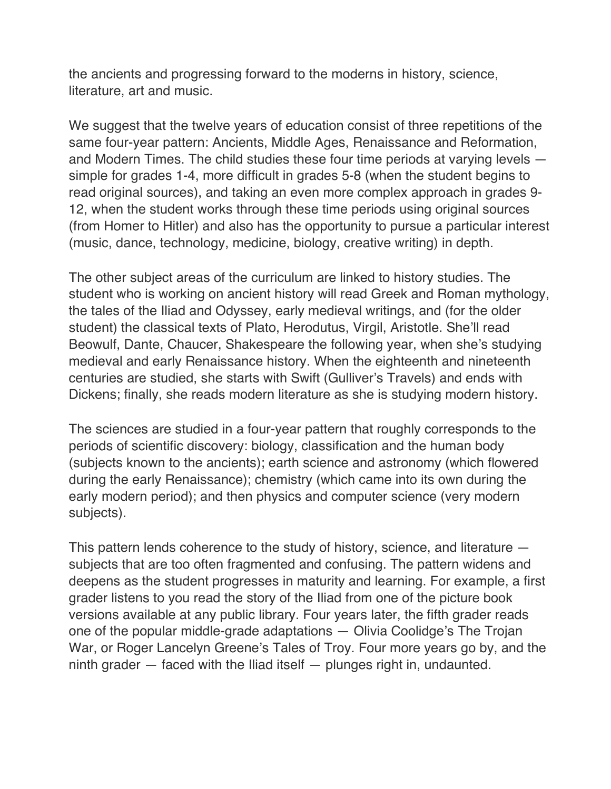the ancients and progressing forward to the moderns in history, science, literature, art and music.

We suggest that the twelve years of education consist of three repetitions of the same four-year pattern: Ancients, Middle Ages, Renaissance and Reformation, and Modern Times. The child studies these four time periods at varying levels simple for grades 1-4, more difficult in grades 5-8 (when the student begins to read original sources), and taking an even more complex approach in grades 9- 12, when the student works through these time periods using original sources (from Homer to Hitler) and also has the opportunity to pursue a particular interest (music, dance, technology, medicine, biology, creative writing) in depth.

The other subject areas of the curriculum are linked to history studies. The student who is working on ancient history will read Greek and Roman mythology, the tales of the Iliad and Odyssey, early medieval writings, and (for the older student) the classical texts of Plato, Herodutus, Virgil, Aristotle. She'll read Beowulf, Dante, Chaucer, Shakespeare the following year, when she's studying medieval and early Renaissance history. When the eighteenth and nineteenth centuries are studied, she starts with Swift (Gulliver's Travels) and ends with Dickens; finally, she reads modern literature as she is studying modern history.

The sciences are studied in a four-year pattern that roughly corresponds to the periods of scientific discovery: biology, classification and the human body (subjects known to the ancients); earth science and astronomy (which flowered during the early Renaissance); chemistry (which came into its own during the early modern period); and then physics and computer science (very modern subjects).

This pattern lends coherence to the study of history, science, and literature subjects that are too often fragmented and confusing. The pattern widens and deepens as the student progresses in maturity and learning. For example, a first grader listens to you read the story of the Iliad from one of the picture book versions available at any public library. Four years later, the fifth grader reads one of the popular middle-grade adaptations — Olivia Coolidge's The Trojan War, or Roger Lancelyn Greene's Tales of Troy. Four more years go by, and the ninth grader — faced with the Iliad itself — plunges right in, undaunted.